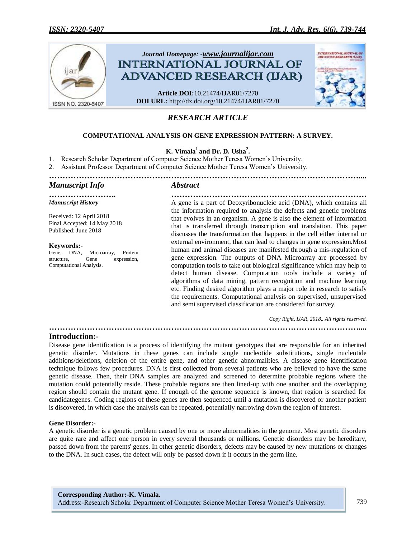

# *RESEARCH ARTICLE*

# **COMPUTATIONAL ANALYSIS ON GENE EXPRESSION PATTERN: A SURVEY.**

# **K. Vimala<sup>1</sup>and Dr. D. Usha<sup>2</sup> .**

1. Research Scholar Department of Computer Science Mother Teresa Women's University.

2. Assistant Professor Department of Computer Science Mother Teresa Women's University.

### *…………………………………………………………………………………………………….... Manuscript Info Abstract*

*Manuscript History*

Received: 12 April 2018 Final Accepted: 14 May 2018 Published: June 2018

#### **Keywords:**-

Gene, DNA, Microarray, Protein structure, Gene expression, Computational Analysis.

*……………………. ………………………………………………………………* A gene is a part of Deoxyribonucleic acid (DNA), which contains all the information required to analysis the defects and genetic problems that evolves in an organism. A gene is also the element of information that is transferred through transcription and translation. This paper discusses the transformation that happens in the cell either internal or external environment, that can lead to changes in gene expression.Most human and animal diseases are manifested through a mis-regulation of gene expression. The outputs of DNA Microarray are processed by computation tools to take out biological significance which may help to detect human disease. Computation tools include a variety of algorithms of data mining, pattern recognition and machine learning etc. Finding desired algorithm plays a major role in research to satisfy the requirements. Computational analysis on supervised, unsupervised and semi supervised classification are considered for survey.

*Copy Right, IJAR, 2018,. All rights reserved.*

**Introduction:-**

Disease gene identification is a process of identifying the mutant genotypes that are responsible for an inherited genetic disorder. [Mutations](https://en.wikipedia.org/wiki/DNA_mutations#Classification_of_mutation_types) in these genes can include single nucleotide substitutions, single nucleotide additions/deletions, deletion of the entire gene, and other genetic abnormalities. A disease gene identification technique follows few procedures. DNA is first collected from several patients who are believed to have the same genetic disease. Then, their DNA samples are analyzed and screened to determine probable regions where the mutation could potentially reside. These probable regions are then lined-up with one another and the overlapping region should contain the mutant gene. If enough of the genome sequence is known, that region is searched for [candidategenes.](https://en.wikipedia.org/wiki/Candidate_gene) Coding regions of these genes are then sequenced until a mutation is discovered or another patient is discovered, in which case the analysis can be repeated, potentially narrowing down the region of interest.

*……………………………………………………………………………………………………....*

#### **Gene Disorder:-**

A genetic disorder is a genetic problem caused by one or more abnormalities in the genome. Most genetic disorders are quite rare and affect one person in every several thousands or millions. Genetic disorders may be [hereditary,](https://en.wikipedia.org/wiki/Hereditary) passed down from the parents' genes. In other genetic disorders, defects may be caused by new [mutations](https://en.wikipedia.org/wiki/Mutation) or changes to the [DNA.](https://en.wikipedia.org/wiki/DNA) In such cases, the defect will only be passed down if it occurs in the [germ line.](https://en.wikipedia.org/wiki/Germ_line)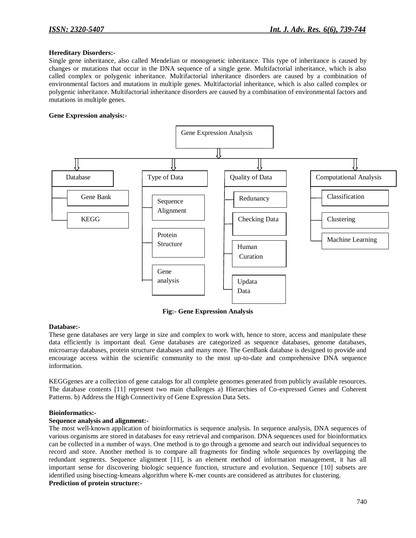#### **Hereditary Disorders:-**

Single gene inheritance, also called Mendelian or monogenetic inheritance. This type of inheritance is caused by changes or mutations that occur in the DNA sequence of a single gene. Multifactorial inheritance, which is also called complex or polygenic inheritance. Multifactorial inheritance disorders are caused by a combination of environmental factors and mutations in multiple genes. Multifactorial inheritance, which is also called complex or polygenic inheritance. Multifactorial inheritance disorders are caused by a combination of environmental factors and mutations in multiple genes.

#### **Gene Expression analysis:-**



**Fig:- Gene Expression Analysis**

### **Database:-**

These gene databases are very large in size and complex to work with, hence to store, access and manipulate these data efficiently is important deal. Gene databases are categorized as sequence databases, genome databases, microarray databases, protein structure databases and many more. The GenBank database is designed to provide and encourage access within the scientific community to the most up-to-date and comprehensive DNA sequence information.

KEGGgenes are a collection of gene catalogs for all complete genomes generated from publicly available resources. The database contents [11] represent two main challenges a) Hierarchies of Co-expressed Genes and Coherent Patterns. b) Address the High Connectivity of Gene Expression Data Sets.

#### **Bioinformatics:-**

### **Sequence analysis and alignment:-**

The most well-known application of bioinformatics is sequence analysis. In sequence analysis, DNA sequences of various organisms are stored in databases for easy retrieval and comparison. DNA sequences used for bioinformatics can be collected in a number of ways. One method is to go through a genome and search out individual sequences to record and store. Another method is to compare all fragments for finding whole sequences by overlapping the redundant segments. Sequence alignment [11], is an element method of information management, it has all important sense for discovering biologic sequence function, structure and evolution. Sequence [10] subsets are identified using bisecting-kmeans algorithm where K-mer counts are considered as attributes for clustering. **Prediction of protein structure:-**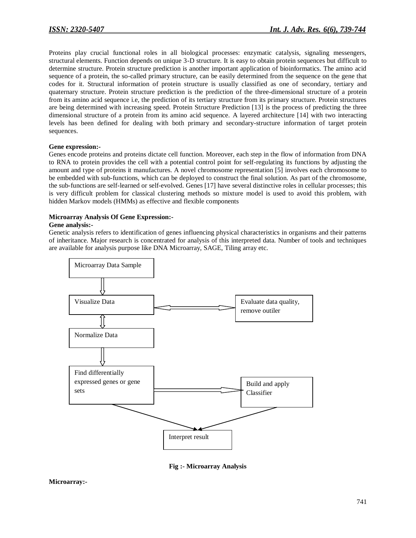Proteins play crucial functional roles in all biological processes: enzymatic catalysis, signaling messengers, structural elements. Function depends on unique 3-D structure. It is easy to obtain protein sequences but difficult to determine structure. Protein structure prediction is another important application of bioinformatics. The amino acid sequence of a protein, the so-called primary structure, can be easily determined from the sequence on the gene that codes for it. Structural information of protein structure is usually classified as one of secondary, tertiary and quaternary structure. Protein structure prediction is the prediction of the three-dimensional structure of a protein from its amino acid sequence i.e, the prediction of its tertiary structure from its primary structure. Protein structures are being determined with increasing speed. Protein Structure Prediction [13] is the process of predicting the three dimensional structure of a protein from its amino acid sequence. A layered architecture [14] with two interacting levels has been defined for dealing with both primary and secondary-structure information of target protein sequences.

#### **Gene expression:-**

Genes encode proteins and proteins dictate cell function. Moreover, each step in the flow of information from DNA to RNA to protein provides the cell with a potential control point for self-regulating its functions by adjusting the amount and type of proteins it manufactures. A novel chromosome representation [5] involves each chromosome to be embedded with sub-functions, which can be deployed to construct the final solution. As part of the chromosome, the sub-functions are self-learned or self-evolved. Genes [17] have several distinctive roles in cellular processes; this is very difficult problem for classical clustering methods so mixture model is used to avoid this problem, with hidden Markov models (HMMs) as effective and flexible components

#### **Microarray Analysis Of Gene Expression:-**

#### **Gene analysis:-**

Genetic analysis refers to identification of genes influencing physical characteristics in organisms and their patterns of inheritance. Major research is concentrated for analysis of this interpreted data. Number of tools and techniques are available for analysis purpose like DNA Microarray, SAGE, Tiling array etc.



**Fig :- Microarray Analysis**

#### **Microarray:-**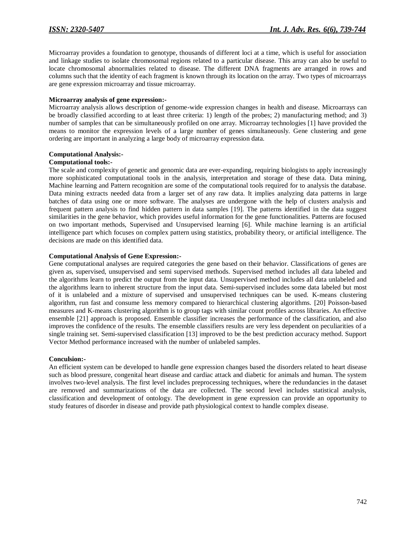Microarray provides a foundation to genotype, thousands of different loci at a time, which is useful for association and linkage studies to isolate chromosomal regions related to a particular disease. This array can also be useful to locate chromosomal abnormalities related to disease. The different DNA fragments are arranged in rows and columns such that the identity of each fragment is known through its location on the array. Two types of microarrays are gene expression microarray and tissue microarray.

#### **Microarray analysis of gene expression:-**

Microarray analysis allows description of genome-wide expression changes in health and disease. Microarrays can be broadly classified according to at least three criteria: 1) length of the probes; 2) manufacturing method; and 3) number of samples that can be simultaneously profiled on one array. Microarray technologies [1] have provided the means to monitor the expression levels of a large number of genes simultaneously. Gene clustering and gene ordering are important in analyzing a large body of microarray expression data.

# **Computational Analysis:-**

### **Computational tools:-**

The scale and complexity of genetic and genomic data are ever-expanding, requiring biologists to apply increasingly more sophisticated computational tools in the analysis, interpretation and storage of these data. Data mining, Machine learning and Pattern recognition are some of the computational tools required for to analysis the database. Data mining extracts needed data from a larger set of any raw data. It implies analyzing data patterns in large batches of data using one or more software. The analyses are undergone with the help of clusters analysis and frequent pattern analysis to find hidden pattern in data samples [19]. The patterns identified in the data suggest similarities in the gene behavior, which provides useful information for the gene functionalities. Patterns are focused on two important methods, Supervised and Unsupervised learning [6]. While machine learning is an artificial intelligence part which focuses on complex pattern using statistics, probability theory, or artificial intelligence. The decisions are made on this identified data.

#### **Computational Analysis of Gene Expression:-**

Gene computational analyses are required categories the gene based on their behavior. Classifications of genes are given as, supervised, unsupervised and semi supervised methods. Supervised method includes all data labeled and the algorithms learn to predict the output from the input data. Unsupervised method includes all data unlabeled and the algorithms learn to inherent structure from the input data. Semi-supervised includes some data labeled but most of it is unlabeled and a mixture of supervised and unsupervised techniques can be used. K-means clustering algorithm, run fast and consume less memory compared to hierarchical clustering algorithms. [20] Poisson-based measures and K-means clustering algorithm is to group tags with similar count profiles across libraries. An effective ensemble [21] approach is proposed. Ensemble classifier increases the performance of the classification, and also improves the confidence of the results. The ensemble classifiers results are very less dependent on peculiarities of a single training set. Semi-supervised classification [13] improved to be the best prediction accuracy method. Support Vector Method performance increased with the number of unlabeled samples.

### **Conculsion:-**

An efficient system can be developed to handle gene expression changes based the disorders related to heart disease such as blood pressure, congenital heart disease and cardiac attack and diabetic for animals and human. The system involves two-level analysis. The first level includes preprocessing techniques, where the redundancies in the dataset are removed and summarizations of the data are collected. The second level includes statistical analysis, classification and development of ontology. The development in gene expression can provide an opportunity to study features of disorder in disease and provide path physiological context to handle complex disease.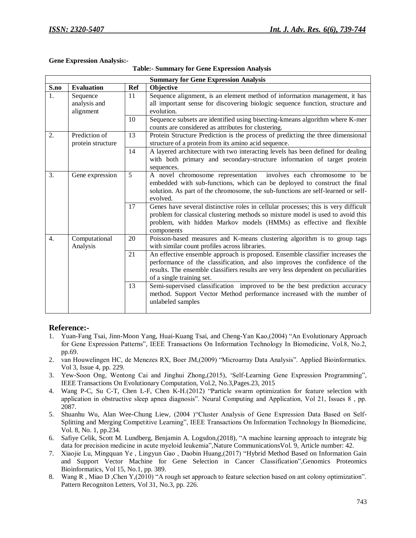# **Gene Expression Analysis:-**

| <b>Table:- Summary for Gene Expression Analysis</b> |  |  |  |  |  |
|-----------------------------------------------------|--|--|--|--|--|
|-----------------------------------------------------|--|--|--|--|--|

| <b>Summary for Gene Expression Analysis</b> |                           |     |                                                                                                                                                                                                                                                                                |  |  |
|---------------------------------------------|---------------------------|-----|--------------------------------------------------------------------------------------------------------------------------------------------------------------------------------------------------------------------------------------------------------------------------------|--|--|
| S.no                                        | <b>Evaluation</b>         | Ref | Objective                                                                                                                                                                                                                                                                      |  |  |
| 1.<br>Sequence<br>analysis and<br>alignment |                           | 11  | Sequence alignment, is an element method of information management, it has<br>all important sense for discovering biologic sequence function, structure and<br>evolution.                                                                                                      |  |  |
|                                             |                           | 10  | Sequence subsets are identified using bisecting-kmeans algorithm where K-mer<br>counts are considered as attributes for clustering.                                                                                                                                            |  |  |
| Prediction of<br>2.<br>protein structure    |                           | 13  | Protein Structure Prediction is the process of predicting the three dimensional<br>structure of a protein from its amino acid sequence.                                                                                                                                        |  |  |
|                                             |                           | 14  | A layered architecture with two interacting levels has been defined for dealing<br>with both primary and secondary-structure information of target protein<br>sequences.                                                                                                       |  |  |
| 3.                                          | Gene expression           | 5   | involves each chromosome to be<br>A novel chromosome representation<br>embedded with sub-functions, which can be deployed to construct the final<br>solution. As part of the chromosome, the sub-functions are self-learned or self-<br>evolved.                               |  |  |
|                                             |                           | 17  | Genes have several distinctive roles in cellular processes; this is very difficult<br>problem for classical clustering methods so mixture model is used to avoid this<br>problem, with hidden Markov models (HMMs) as effective and flexible<br>components                     |  |  |
| $\overline{4}$ .                            | Computational<br>Analysis | 20  | Poisson-based measures and K-means clustering algorithm is to group tags<br>with similar count profiles across libraries.                                                                                                                                                      |  |  |
|                                             |                           | 21  | An effective ensemble approach is proposed. Ensemble classifier increases the<br>performance of the classification, and also improves the confidence of the<br>results. The ensemble classifiers results are very less dependent on peculiarities<br>of a single training set. |  |  |
|                                             |                           | 13  | Semi-supervised classification improved to be the best prediction accuracy<br>method. Support Vector Method performance increased with the number of<br>unlabeled samples                                                                                                      |  |  |

# **Reference:-**

- 1. Yuan-Fang Tsai, Jinn-Moon Yang, Huai-Kuang Tsai, and Cheng-Yan Kao,(2004) "An Evolutionary Approach for Gene Expression Patterns", IEEE Transactions On Information Technology In Biomedicine, Vol.8, No.2, pp.69.
- 2. van Houwelingen HC, de Menezes RX, Boer JM,(2009) "Microarray Data Analysis". Applied Bioinformatics. Vol 3, Issue 4, pp. 229.
- 3. Yew-Soon Ong, Wentong Cai and Jinghui Zhong,(2015), 'Self-Learning Gene Expression Programming", IEEE Transactions On Evolutionary Computation, Vol.2, No.3,Pages.23, 2015
- 4. Wang P-C, Su C-T, Chen L-F, Chen K-H.(2012) "Particle swarm optimization for feature selection with application in obstructive sleep apnea diagnosis". Neural Computing and Application, Vol 21, Issues 8 , pp. 2087.
- 5. Shuanhu Wu, Alan Wee-Chung Liew*,* (2004 )"Cluster Analysis of Gene Expression Data Based on Self-Splitting and Merging Competitive Learning", IEEE Transactions On Information Technology In Biomedicine, Vol. 8, No. 1, pp.234.
- 6. [Safiye Celik,](https://www.nature.com/articles/s41467-017-02465-5#auth-2) [Scott M. Lundberg,](https://www.nature.com/articles/s41467-017-02465-5#auth-4) [Benjamin A. Logsdon,\(](https://www.nature.com/articles/s41467-017-02465-5#auth-3)2018), "A machine learning approach to integrate big data for precision medicine in acute myeloid leukemia", Nature Communications Vol. 9, Article number: 42.
- 7. Xiaojie Lu, Mingquan Ye , Lingyun Gao , Daobin Huang,(2017) "Hybrid Method Based on Information Gain and Support Vector Machine for Gene Selection in Cancer Classification",Genomics Proteomics Bioinformatics, Vol 15, No.1, pp. 389.
- 8. Wang R , Miao D ,Chen Y,(2010) "A rough set approach to feature selection based on ant colony optimization". Pattern Recogniton Letters, Vol 31, No.3, pp. 226.